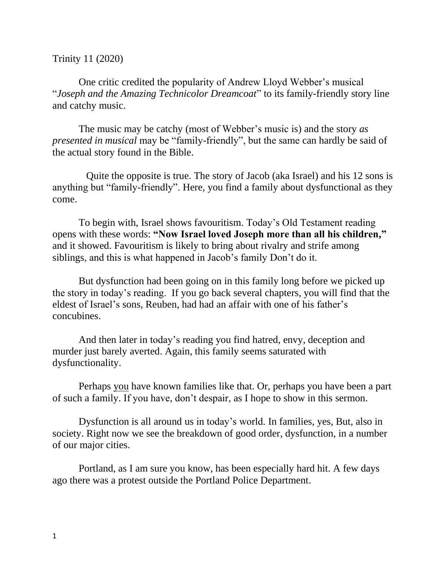## Trinity 11 (2020)

One critic credited the popularity of Andrew Lloyd Webber's musical "*Joseph and the Amazing Technicolor Dreamcoat*" to its family-friendly story line and catchy music.

The music may be catchy (most of Webber's music is) and the story *as presented in musical* may be "family-friendly", but the same can hardly be said of the actual story found in the Bible.

 Quite the opposite is true. The story of Jacob (aka Israel) and his 12 sons is anything but "family-friendly". Here, you find a family about dysfunctional as they come.

To begin with, Israel shows favouritism. Today's Old Testament reading opens with these words: **"Now Israel loved Joseph more than all his children,"**  and it showed. Favouritism is likely to bring about rivalry and strife among siblings, and this is what happened in Jacob's family Don't do it.

But dysfunction had been going on in this family long before we picked up the story in today's reading. If you go back several chapters, you will find that the eldest of Israel's sons, Reuben, had had an affair with one of his father's concubines.

And then later in today's reading you find hatred, envy, deception and murder just barely averted. Again, this family seems saturated with dysfunctionality.

Perhaps you have known families like that. Or, perhaps you have been a part of such a family. If you have, don't despair, as I hope to show in this sermon.

Dysfunction is all around us in today's world. In families, yes, But, also in society. Right now we see the breakdown of good order, dysfunction, in a number of our major cities.

Portland, as I am sure you know, has been especially hard hit. A few days ago there was a protest outside the Portland Police Department.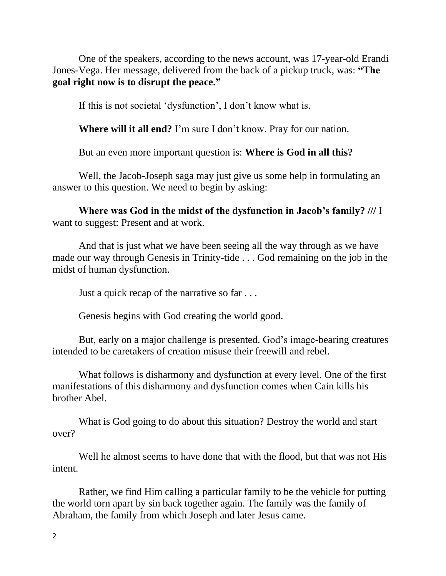One of the speakers, according to the news account, was 17-year-old Erandi Jones-Vega. Her message, delivered from the back of a pickup truck, was: **"The goal right now is to disrupt the peace."**

If this is not societal 'dysfunction', I don't know what is.

**Where will it all end?** I'm sure I don't know. Pray for our nation.

But an even more important question is: **Where is God in all this?**

Well, the Jacob-Joseph saga may just give us some help in formulating an answer to this question. We need to begin by asking:

**Where was God in the midst of the dysfunction in Jacob's family? ///** I want to suggest: Present and at work.

And that is just what we have been seeing all the way through as we have made our way through Genesis in Trinity-tide . . . God remaining on the job in the midst of human dysfunction.

Just a quick recap of the narrative so far . . .

Genesis begins with God creating the world good.

But, early on a major challenge is presented. God's image-bearing creatures intended to be caretakers of creation misuse their freewill and rebel.

What follows is disharmony and dysfunction at every level. One of the first manifestations of this disharmony and dysfunction comes when Cain kills his brother Abel.

What is God going to do about this situation? Destroy the world and start over?

Well he almost seems to have done that with the flood, but that was not His intent.

Rather, we find Him calling a particular family to be the vehicle for putting the world torn apart by sin back together again. The family was the family of Abraham, the family from which Joseph and later Jesus came.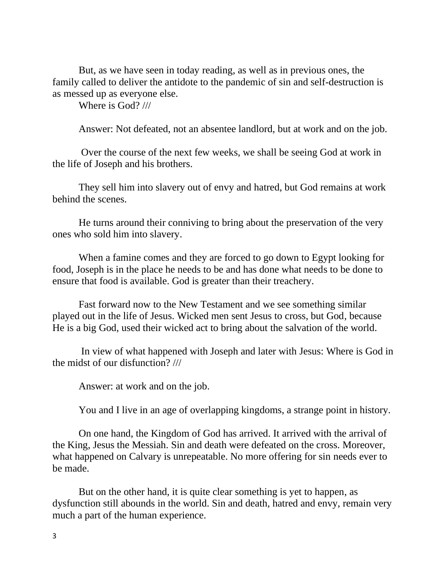But, as we have seen in today reading, as well as in previous ones, the family called to deliver the antidote to the pandemic of sin and self-destruction is as messed up as everyone else.

Where is God? ///

Answer: Not defeated, not an absentee landlord, but at work and on the job.

Over the course of the next few weeks, we shall be seeing God at work in the life of Joseph and his brothers.

They sell him into slavery out of envy and hatred, but God remains at work behind the scenes.

He turns around their conniving to bring about the preservation of the very ones who sold him into slavery.

When a famine comes and they are forced to go down to Egypt looking for food, Joseph is in the place he needs to be and has done what needs to be done to ensure that food is available. God is greater than their treachery.

Fast forward now to the New Testament and we see something similar played out in the life of Jesus. Wicked men sent Jesus to cross, but God, because He is a big God, used their wicked act to bring about the salvation of the world.

In view of what happened with Joseph and later with Jesus: Where is God in the midst of our disfunction? ///

Answer: at work and on the job.

You and I live in an age of overlapping kingdoms, a strange point in history.

On one hand, the Kingdom of God has arrived. It arrived with the arrival of the King, Jesus the Messiah. Sin and death were defeated on the cross. Moreover, what happened on Calvary is unrepeatable. No more offering for sin needs ever to be made.

But on the other hand, it is quite clear something is yet to happen, as dysfunction still abounds in the world. Sin and death, hatred and envy, remain very much a part of the human experience.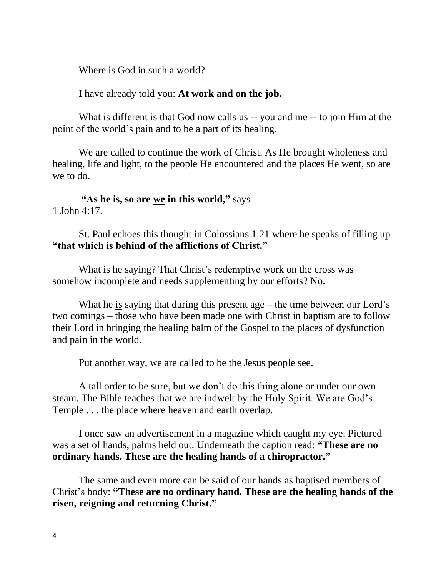Where is God in such a world?

I have already told you: **At work and on the job.**

What is different is that God now calls us -- you and me -- to join Him at the point of the world's pain and to be a part of its healing.

We are called to continue the work of Christ. As He brought wholeness and healing, life and light, to the people He encountered and the places He went, so are we to do.

**"As he is, so are we in this world, "** says 1 John 4:17.

St. Paul echoes this thought in Colossians 1:21 where he speaks of filling up **"that which is behind of the afflictions of Christ."**

What is he saying? That Christ's redemptive work on the cross was somehow incomplete and needs supplementing by our efforts? No.

What he is saying that during this present age – the time between our Lord's two comings – those who have been made one with Christ in baptism are to follow their Lord in bringing the healing balm of the Gospel to the places of dysfunction and pain in the world.

Put another way, we are called to be the Jesus people see.

A tall order to be sure, but we don't do this thing alone or under our own steam. The Bible teaches that we are indwelt by the Holy Spirit. We are God's Temple . . . the place where heaven and earth overlap.

I once saw an advertisement in a magazine which caught my eye. Pictured was a set of hands, palms held out. Underneath the caption read: **"These are no ordinary hands. These are the healing hands of a chiropractor."**

The same and even more can be said of our hands as baptised members of Christ's body: **"These are no ordinary hand. These are the healing hands of the risen, reigning and returning Christ."**